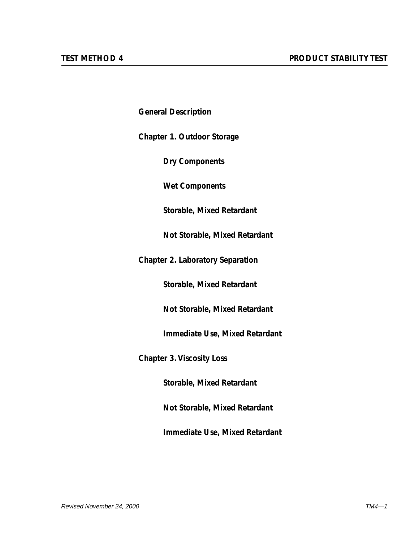**General Description**

**Chapter 1. Outdoor Storage**

**Dry Components**

**Wet Components**

**Storable, Mixed Retardant**

**Not Storable, Mixed Retardant**

**Chapter 2. Laboratory Separation**

**Storable, Mixed Retardant**

**Not Storable, Mixed Retardant**

**Immediate Use, Mixed Retardant**

**Chapter 3. Viscosity Loss**

**Storable, Mixed Retardant**

**Not Storable, Mixed Retardant**

**Immediate Use, Mixed Retardant**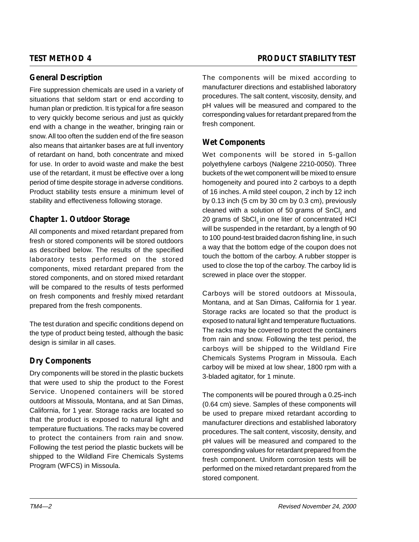# **General Description**

Fire suppression chemicals are used in a variety of situations that seldom start or end according to human plan or prediction. It is typical for a fire season to very quickly become serious and just as quickly end with a change in the weather, bringing rain or snow. All too often the sudden end of the fire season also means that airtanker bases are at full inventory of retardant on hand, both concentrate and mixed for use. In order to avoid waste and make the best use of the retardant, it must be effective over a long period of time despite storage in adverse conditions. Product stability tests ensure a minimum level of stability and effectiveness following storage.

# **Chapter 1. Outdoor Storage**

All components and mixed retardant prepared from fresh or stored components will be stored outdoors as described below. The results of the specified laboratory tests performed on the stored components, mixed retardant prepared from the stored components, and on stored mixed retardant will be compared to the results of tests performed on fresh components and freshly mixed retardant prepared from the fresh components.

The test duration and specific conditions depend on the type of product being tested, although the basic design is similar in all cases.

# **Dry Components**

Dry components will be stored in the plastic buckets that were used to ship the product to the Forest Service. Unopened containers will be stored outdoors at Missoula, Montana, and at San Dimas, California, for 1 year. Storage racks are located so that the product is exposed to natural light and temperature fluctuations. The racks may be covered to protect the containers from rain and snow. Following the test period the plastic buckets will be shipped to the Wildland Fire Chemicals Systems Program (WFCS) in Missoula.

The components will be mixed according to manufacturer directions and established laboratory procedures. The salt content, viscosity, density, and pH values will be measured and compared to the corresponding values for retardant prepared from the fresh component.

# **Wet Components**

Wet components will be stored in 5-gallon polyethylene carboys (Nalgene 2210-0050). Three buckets of the wet component will be mixed to ensure homogeneity and poured into 2 carboys to a depth of 16 inches. A mild steel coupon, 2 inch by 12 inch by 0.13 inch (5 cm by 30 cm by 0.3 cm), previously cleaned with a solution of 50 grams of SnCl<sub>2</sub> and 20 grams of SbCl<sub>3</sub> in one liter of concentrated HCl will be suspended in the retardant, by a length of 90 to 100 pound-test braided dacron fishing line, in such a way that the bottom edge of the coupon does not touch the bottom of the carboy. A rubber stopper is used to close the top of the carboy. The carboy lid is screwed in place over the stopper.

Carboys will be stored outdoors at Missoula, Montana, and at San Dimas, California for 1 year. Storage racks are located so that the product is exposed to natural light and temperature fluctuations. The racks may be covered to protect the containers from rain and snow. Following the test period, the carboys will be shipped to the Wildland Fire Chemicals Systems Program in Missoula. Each carboy will be mixed at low shear, 1800 rpm with a 3-bladed agitator, for 1 minute.

The components will be poured through a 0.25-inch (0.64 cm) sieve. Samples of these components will be used to prepare mixed retardant according to manufacturer directions and established laboratory procedures. The salt content, viscosity, density, and pH values will be measured and compared to the corresponding values for retardant prepared from the fresh component. Uniform corrosion tests will be performed on the mixed retardant prepared from the stored component.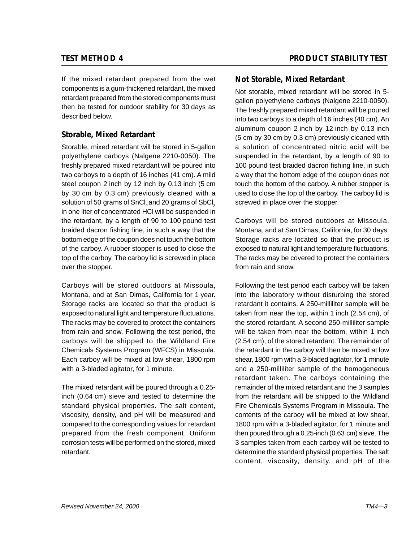If the mixed retardant prepared from the wet components is a gum-thickened retardant, the mixed retardant prepared from the stored components must then be tested for outdoor stability for 30 days as described below.

# **Storable, Mixed Retardant**

Storable, mixed retardant will be stored in 5-gallon polyethylene carboys (Nalgene 2210-0050). The freshly prepared mixed retardant will be poured into two carboys to a depth of 16 inches (41 cm). A mild steel coupon 2 inch by 12 inch by 0.13 inch (5 cm by 30 cm by 0.3 cm) previously cleaned with a solution of 50 grams of SnCl<sub>2</sub> and 20 grams of SbCl<sub>3</sub> in one liter of concentrated HCl will be suspended in the retardant, by a length of 90 to 100 pound test braided dacron fishing line, in such a way that the bottom edge of the coupon does not touch the bottom of the carboy. A rubber stopper is used to close the top of the carboy. The carboy lid is screwed in place over the stopper.

Carboys will be stored outdoors at Missoula, Montana, and at San Dimas, California for 1 year. Storage racks are located so that the product is exposed to natural light and temperature fluctuations. The racks may be covered to protect the containers from rain and snow. Following the test period, the carboys will be shipped to the Wildland Fire Chemicals Systems Program (WFCS) in Missoula. Each carboy will be mixed at low shear, 1800 rpm with a 3-bladed agitator, for 1 minute.

The mixed retardant will be poured through a 0.25 inch (0.64 cm) sieve and tested to determine the standard physical properties. The salt content, viscosity, density, and pH will be measured and compared to the corresponding values for retardant prepared from the fresh component. Uniform corrosion tests will be performed on the stored, mixed retardant.

## **TEST METHOD 4 PRODUCT STABILITY TEST**

## **Not Storable, Mixed Retardant**

Not storable, mixed retardant will be stored in 5 gallon polyethylene carboys (Nalgene 2210-0050). The freshly prepared mixed retardant will be poured into two carboys to a depth of 16 inches (40 cm). An aluminum coupon 2 inch by 12 inch by 0.13 inch (5 cm by 30 cm by 0.3 cm) previously cleaned with a solution of concentrated nitric acid will be suspended in the retardant, by a length of 90 to 100 pound test braided dacron fishing line, in such a way that the bottom edge of the coupon does not touch the bottom of the carboy. A rubber stopper is used to close the top of the carboy. The carboy lid is screwed in place over the stopper.

Carboys will be stored outdoors at Missoula, Montana, and at San Dimas, California, for 30 days. Storage racks are located so that the product is exposed to natural light and temperature fluctuations. The racks may be covered to protect the containers from rain and snow.

Following the test period each carboy will be taken into the laboratory without disturbing the stored retardant it contains. A 250-milliliter sample will be taken from near the top, within 1 inch (2.54 cm), of the stored retardant. A second 250-milliliter sample will be taken from near the bottom, within 1 inch (2.54 cm), of the stored retardant. The remainder of the retardant in the carboy will then be mixed at low shear, 1800 rpm with a 3-bladed agitator, for 1 minute and a 250-milliliter sample of the homogeneous retardant taken. The carboys containing the remainder of the mixed retardant and the 3 samples from the retardant will be shipped to the Wildland Fire Chemicals Systems Program in Missoula. The contents of the carboy will be mixed at low shear, 1800 rpm with a 3-bladed agitator, for 1 minute and then poured through a 0.25-inch (0.63 cm) sieve. The 3 samples taken from each carboy will be tested to determine the standard physical properties. The salt content, viscosity, density, and pH of the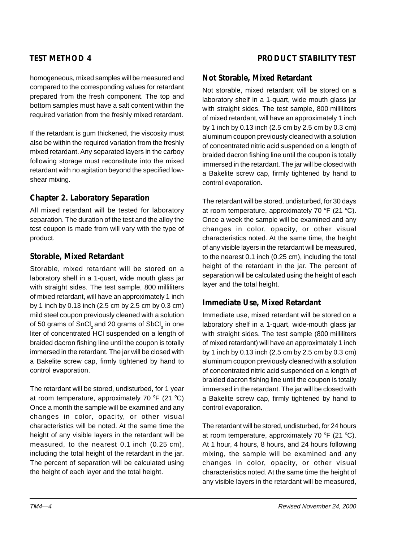homogeneous, mixed samples will be measured and compared to the corresponding values for retardant prepared from the fresh component. The top and bottom samples must have a salt content within the required variation from the freshly mixed retardant.

If the retardant is gum thickened, the viscosity must also be within the required variation from the freshly mixed retardant. Any separated layers in the carboy following storage must reconstitute into the mixed retardant with no agitation beyond the specified lowshear mixing.

## **Chapter 2. Laboratory Separation**

All mixed retardant will be tested for laboratory separation. The duration of the test and the alloy the test coupon is made from will vary with the type of product.

### **Storable, Mixed Retardant**

Storable, mixed retardant will be stored on a laboratory shelf in a 1-quart, wide mouth glass jar with straight sides. The test sample, 800 milliliters of mixed retardant, will have an approximately 1 inch by 1 inch by 0.13 inch (2.5 cm by 2.5 cm by 0.3 cm) mild steel coupon previously cleaned with a solution of 50 grams of SnCl $_2$  and 20 grams of SbCl $_3$  in one liter of concentrated HCl suspended on a length of braided dacron fishing line until the coupon is totally immersed in the retardant. The jar will be closed with a Bakelite screw cap, firmly tightened by hand to control evaporation.

The retardant will be stored, undisturbed, for 1 year at room temperature, approximately 70 °F (21 °C) Once a month the sample will be examined and any changes in color, opacity, or other visual characteristics will be noted. At the same time the height of any visible layers in the retardant will be measured, to the nearest 0.1 inch (0.25 cm), including the total height of the retardant in the jar. The percent of separation will be calculated using the height of each layer and the total height.

### **Not Storable, Mixed Retardant**

Not storable, mixed retardant will be stored on a laboratory shelf in a 1-quart, wide mouth glass jar with straight sides. The test sample, 800 milliliters of mixed retardant, will have an approximately 1 inch by 1 inch by 0.13 inch (2.5 cm by 2.5 cm by 0.3 cm) aluminum coupon previously cleaned with a solution of concentrated nitric acid suspended on a length of braided dacron fishing line until the coupon is totally immersed in the retardant. The jar will be closed with a Bakelite screw cap, firmly tightened by hand to control evaporation.

The retardant will be stored, undisturbed, for 30 days at room temperature, approximately 70 °F (21 °C). Once a week the sample will be examined and any changes in color, opacity, or other visual characteristics noted. At the same time, the height of any visible layers in the retardant will be measured, to the nearest 0.1 inch (0.25 cm), including the total height of the retardant in the jar. The percent of separation will be calculated using the height of each layer and the total height.

### **Immediate Use, Mixed Retardant**

Immediate use, mixed retardant will be stored on a laboratory shelf in a 1-quart, wide-mouth glass jar with straight sides. The test sample (800 milliliters of mixed retardant) will have an approximately 1 inch by 1 inch by 0.13 inch (2.5 cm by 2.5 cm by 0.3 cm) aluminum coupon previously cleaned with a solution of concentrated nitric acid suspended on a length of braided dacron fishing line until the coupon is totally immersed in the retardant. The jar will be closed with a Bakelite screw cap, firmly tightened by hand to control evaporation.

The retardant will be stored, undisturbed, for 24 hours at room temperature, approximately 70 °F (21 °C). At 1 hour, 4 hours, 8 hours, and 24 hours following mixing, the sample will be examined and any changes in color, opacity, or other visual characteristics noted. At the same time the height of any visible layers in the retardant will be measured,